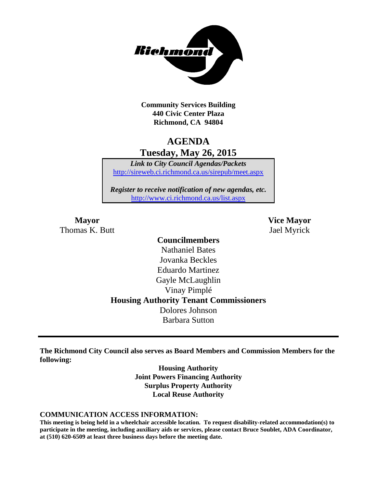

**Community Services Building 440 Civic Center Plaza Richmond, CA 94804**

# **AGENDA Tuesday, May 26, 2015**

*Link to City Council Agendas/Packets* <http://sireweb.ci.richmond.ca.us/sirepub/meet.aspx>

*Register to receive notification of new agendas, etc.* <http://www.ci.richmond.ca.us/list.aspx>

Thomas K. Butt Jael Myrick

**Mayor Vice Mayor**

## **Councilmembers** Nathaniel Bates Jovanka Beckles Eduardo Martinez Gayle McLaughlin Vinay Pimplé **Housing Authority Tenant Commissioners** Dolores Johnson Barbara Sutton

**The Richmond City Council also serves as Board Members and Commission Members for the following:**

> **Housing Authority Joint Powers Financing Authority Surplus Property Authority Local Reuse Authority**

#### **COMMUNICATION ACCESS INFORMATION:**

**This meeting is being held in a wheelchair accessible location. To request disability-related accommodation(s) to participate in the meeting, including auxiliary aids or services, please contact Bruce Soublet, ADA Coordinator, at (510) 620-6509 at least three business days before the meeting date.**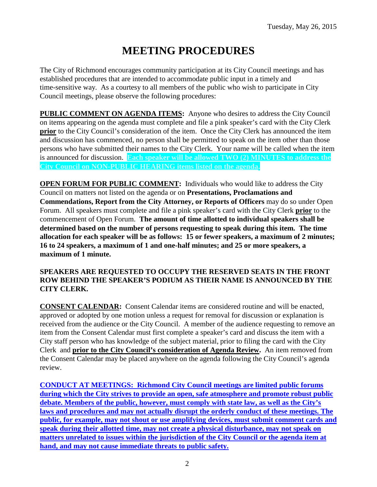# **MEETING PROCEDURES**

The City of Richmond encourages community participation at its City Council meetings and has established procedures that are intended to accommodate public input in a timely and time-sensitive way. As a courtesy to all members of the public who wish to participate in City Council meetings, please observe the following procedures:

**PUBLIC COMMENT ON AGENDA ITEMS:** Anyone who desires to address the City Council on items appearing on the agenda must complete and file a pink speaker's card with the City Clerk **prior** to the City Council's consideration of the item. Once the City Clerk has announced the item and discussion has commenced, no person shall be permitted to speak on the item other than those persons who have submitted their names to the City Clerk. Your name will be called when the item is announced for discussion. **Each speaker will be allowed TWO (2) MINUTES to address the City Council on NON-PUBLIC HEARING items listed on the agenda.**

**OPEN FORUM FOR PUBLIC COMMENT:** Individuals who would like to address the City Council on matters not listed on the agenda or on **Presentations, Proclamations and Commendations, Report from the City Attorney, or Reports of Officers** may do so under Open Forum. All speakers must complete and file a pink speaker's card with the City Clerk **prior** to the commencement of Open Forum. **The amount of time allotted to individual speakers shall be determined based on the number of persons requesting to speak during this item. The time allocation for each speaker will be as follows: 15 or fewer speakers, a maximum of 2 minutes; 16 to 24 speakers, a maximum of 1 and one-half minutes; and 25 or more speakers, a maximum of 1 minute.**

### **SPEAKERS ARE REQUESTED TO OCCUPY THE RESERVED SEATS IN THE FRONT ROW BEHIND THE SPEAKER'S PODIUM AS THEIR NAME IS ANNOUNCED BY THE CITY CLERK.**

**CONSENT CALENDAR:** Consent Calendar items are considered routine and will be enacted, approved or adopted by one motion unless a request for removal for discussion or explanation is received from the audience or the City Council. A member of the audience requesting to remove an item from the Consent Calendar must first complete a speaker's card and discuss the item with a City staff person who has knowledge of the subject material, prior to filing the card with the City Clerk and **prior to the City Council's consideration of Agenda Review.** An item removed from the Consent Calendar may be placed anywhere on the agenda following the City Council's agenda review.

**CONDUCT AT MEETINGS: Richmond City Council meetings are limited public forums during which the City strives to provide an open, safe atmosphere and promote robust public debate. Members of the public, however, must comply with state law, as well as the City's laws and procedures and may not actually disrupt the orderly conduct of these meetings. The public, for example, may not shout or use amplifying devices, must submit comment cards and speak during their allotted time, may not create a physical disturbance, may not speak on matters unrelated to issues within the jurisdiction of the City Council or the agenda item at hand, and may not cause immediate threats to public safety.**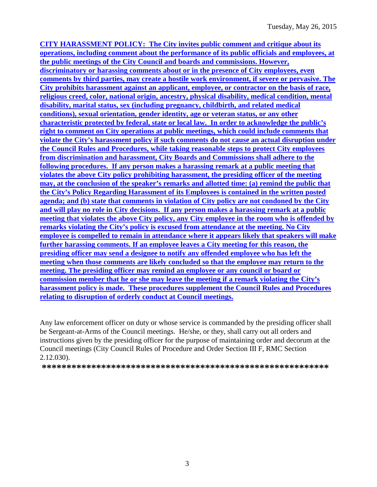**CITY HARASSMENT POLICY: The City invites public comment and critique about its operations, including comment about the performance of its public officials and employees, at the public meetings of the City Council and boards and commissions. However, discriminatory or harassing comments about or in the presence of City employees, even comments by third parties, may create a hostile work environment, if severe or pervasive. The City prohibits harassment against an applicant, employee, or contractor on the basis of race, religious creed, color, national origin, ancestry, physical disability, medical condition, mental disability, marital status, sex (including pregnancy, childbirth, and related medical conditions), sexual orientation, gender identity, age or veteran status, or any other characteristic protected by federal, state or local law. In order to acknowledge the public's right to comment on City operations at public meetings, which could include comments that violate the City's harassment policy if such comments do not cause an actual disruption under the Council Rules and Procedures, while taking reasonable steps to protect City employees from discrimination and harassment, City Boards and Commissions shall adhere to the following procedures. If any person makes a harassing remark at a public meeting that violates the above City policy prohibiting harassment, the presiding officer of the meeting may, at the conclusion of the speaker's remarks and allotted time: (a) remind the public that the City's Policy Regarding Harassment of its Employees is contained in the written posted agenda; and (b) state that comments in violation of City policy are not condoned by the City and will play no role in City decisions. If any person makes a harassing remark at a public meeting that violates the above City policy, any City employee in the room who is offended by remarks violating the City's policy is excused from attendance at the meeting. No City employee is compelled to remain in attendance where it appears likely that speakers will make further harassing comments. If an employee leaves a City meeting for this reason, the presiding officer may send a designee to notify any offended employee who has left the meeting when those comments are likely concluded so that the employee may return to the meeting. The presiding officer may remind an employee or any council or board or commission member that he or she may leave the meeting if a remark violating the City's harassment policy is made. These procedures supplement the Council Rules and Procedures relating to disruption of orderly conduct at Council meetings.**

Any law enforcement officer on duty or whose service is commanded by the presiding officer shall be Sergeant-at-Arms of the Council meetings. He/she, or they, shall carry out all orders and instructions given by the presiding officer for the purpose of maintaining order and decorum at the Council meetings (City Council Rules of Procedure and Order Section III F, RMC Section 2.12.030).

**\*\*\*\*\*\*\*\*\*\*\*\*\*\*\*\*\*\*\*\*\*\*\*\*\*\*\*\*\*\*\*\*\*\*\*\*\*\*\*\*\*\*\*\*\*\*\*\*\*\*\*\*\*\*\*\*\*\***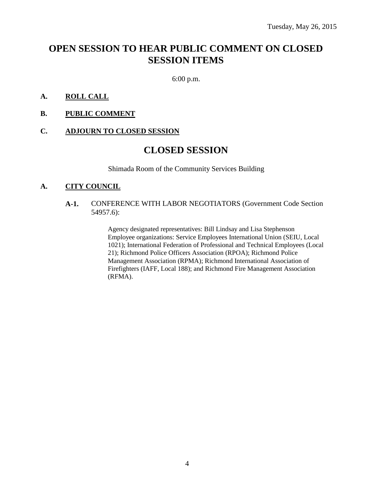# **OPEN SESSION TO HEAR PUBLIC COMMENT ON CLOSED SESSION ITEMS**

6:00 p.m.

#### **A. ROLL CALL**

**B. PUBLIC COMMENT**

#### **C. ADJOURN TO CLOSED SESSION**

### **CLOSED SESSION**

Shimada Room of the Community Services Building

#### **A. CITY COUNCIL**

#### **A-1.** CONFERENCE WITH LABOR NEGOTIATORS (Government Code Section 54957.6):

Agency designated representatives: Bill Lindsay and Lisa Stephenson Employee organizations: Service Employees International Union (SEIU, Local 1021); International Federation of Professional and Technical Employees (Local 21); Richmond Police Officers Association (RPOA); Richmond Police Management Association (RPMA); Richmond International Association of Firefighters (IAFF, Local 188); and Richmond Fire Management Association (RFMA).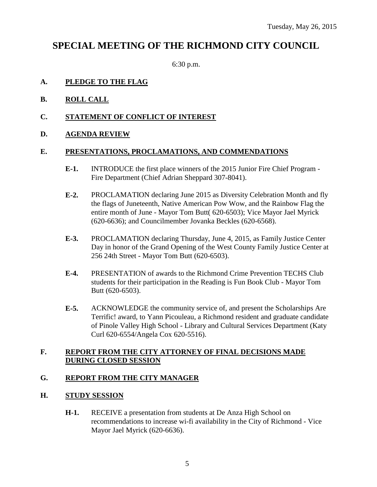# **SPECIAL MEETING OF THE RICHMOND CITY COUNCIL**

6:30 p.m.

#### **A. PLEDGE TO THE FLAG**

- **B. ROLL CALL**
- **C. STATEMENT OF CONFLICT OF INTEREST**
- **D. AGENDA REVIEW**

#### **E. PRESENTATIONS, PROCLAMATIONS, AND COMMENDATIONS**

- **E-1.** INTRODUCE the first place winners of the 2015 Junior Fire Chief Program Fire Department (Chief Adrian Sheppard 307-8041).
- **E-2.** PROCLAMATION declaring June 2015 as Diversity Celebration Month and fly the flags of Juneteenth, Native American Pow Wow, and the Rainbow Flag the entire month of June - Mayor Tom Butt( 620-6503); Vice Mayor Jael Myrick (620-6636); and Councilmember Jovanka Beckles (620-6568).
- **E-3.** PROCLAMATION declaring Thursday, June 4, 2015, as Family Justice Center Day in honor of the Grand Opening of the West County Family Justice Center at 256 24th Street - Mayor Tom Butt (620-6503).
- **E-4.** PRESENTATION of awards to the Richmond Crime Prevention TECHS Club students for their participation in the Reading is Fun Book Club - Mayor Tom Butt (620-6503).
- **E-5.** ACKNOWLEDGE the community service of, and present the Scholarships Are Terrific! award, to Yann Picouleau, a Richmond resident and graduate candidate of Pinole Valley High School - Library and Cultural Services Department (Katy Curl 620-6554/Angela Cox 620-5516).

### **F. REPORT FROM THE CITY ATTORNEY OF FINAL DECISIONS MADE DURING CLOSED SESSION**

#### **G. REPORT FROM THE CITY MANAGER**

#### **H. STUDY SESSION**

**H-1.** RECEIVE a presentation from students at De Anza High School on recommendations to increase wi-fi availability in the City of Richmond - Vice Mayor Jael Myrick (620-6636).